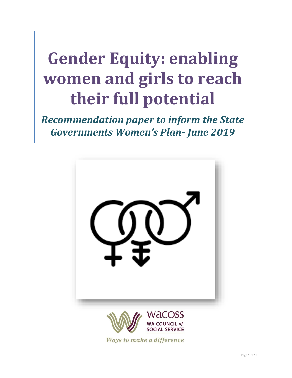# **Gender Equity: enabling women and girls to reach their full potential**

*Recommendation paper to inform the State Governments Women's Plan- June 2019*



Ways to make a difference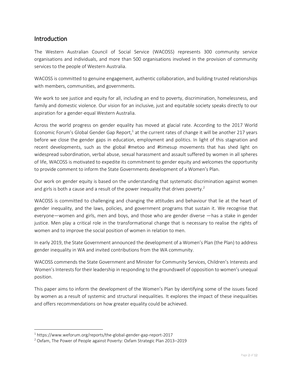# Introduction

The Western Australian Council of Social Service (WACOSS) represents 300 community service organisations and individuals, and more than 500 organisations involved in the provision of community services to the people of Western Australia.

WACOSS is committed to genuine engagement, authentic collaboration, and building trusted relationships with members, communities, and governments.

We work to see justice and equity for all, including an end to poverty, discrimination, homelessness, and family and domestic violence. Our vision for an inclusive, just and equitable society speaks directly to our aspiration for a gender-equal Western Australia.

Across the world progress on gender equality has moved at glacial rate. According to the 2017 World Economic Forum's Global Gender Gap Report,<sup>1</sup> at the current rates of change it will be another 217 years before we close the gender gaps in education, employment and politics. In light of this stagnation and recent developments, such as the global #metoo and #timesup movements that has shed light on widespread subordination, verbal abuse, sexual harassment and assault suffered by women in all spheres of life, WACOSS is motivated to expedite its commitment to gender equity and welcomes the opportunity to provide comment to inform the State Governments development of a Women's Plan.

Our work on gender equity is based on the understanding that systematic discrimination against women and girls is both a cause and a result of the power inequality that drives poverty.<sup>2</sup>

WACOSS is committed to challenging and changing the attitudes and behaviour that lie at the heart of gender inequality, and the laws, policies, and government programs that sustain it. We recognise that everyone—women and girls, men and boys, and those who are gender diverse —has a stake in gender justice. Men play a critical role in the transformational change that is necessary to realise the rights of women and to improve the social position of women in relation to men.

In early 2019, the State Government announced the development of a Women's Plan (the Plan) to address gender inequality in WA and invited contributions from the WA community.

WACOSS commends the State Government and Minister for Community Services, Children's Interests and Women's Interestsfor their leadership in responding to the groundswell of opposition to women's unequal position.

This paper aims to inform the development of the Women's Plan by identifying some of the issues faced by women as a result of systemic and structural inequalities. It explores the impact of these inequalities and offers recommendations on how greater equality could be achieved.

l

<sup>1</sup> https://www.weforum.org/reports/the-global-gender-gap-report-2017

<sup>&</sup>lt;sup>2</sup> Oxfam, The Power of People against Poverty: Oxfam Strategic Plan 2013–2019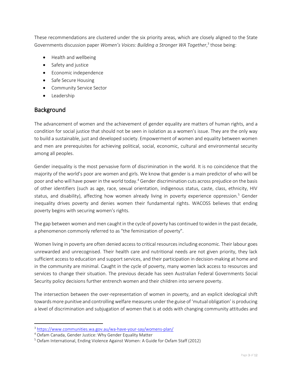These recommendations are clustered under the six priority areas, which are closely aligned to the State Governments discussion paper Women's Voices: Building a Stronger WA Together,<sup>3</sup> those being:

- Health and wellbeing
- Safety and justice
- Economic independence
- Safe Secure Housing
- **•** Community Service Sector
- Leadership

# **Background**

 $\overline{\phantom{a}}$ 

The advancement of women and the achievement of gender equality are matters of human rights, and a condition for social justice that should not be seen in isolation as a women's issue. They are the only way to build a sustainable, just and developed society. Empowerment of women and equality between women and men are prerequisites for achieving political, social, economic, cultural and environmental security among all peoples.

Gender inequality is the most pervasive form of discrimination in the world. It is no coincidence that the majority of the world's poor are women and girls. We know that gender is a main predictor of who will be poor and who will have power in the world today.<sup>4</sup> Gender discrimination cuts across prejudice on the basis of other identifiers (such as age, race, sexual orientation, indigenous status, caste, class, ethnicity, HIV status, and disability), affecting how women already living in poverty experience oppression.<sup>5</sup> Gender inequality drives poverty and denies women their fundamental rights. WACOSS believes that ending poverty begins with securing women's rights.

The gap between women and men caught in the cycle of poverty has continued to widen in the past decade, a phenomenon commonly referred to as "the feminization of poverty".

Women living in poverty are often denied access to critical resources including economic. Their labour goes unrewarded and unrecognised. Their health care and nutritional needs are not given priority, they lack sufficient access to education and support services, and their participation in decision-making at home and in the community are minimal. Caught in the cycle of poverty, many women lack access to resources and services to change their situation. The previous decade has seen Australian Federal Governments Social Security policy decisions further entrench women and their children into servere poverty.

The intersection between the over-representation of women in poverty, and an explicit ideological shift towards more punitive and controlling welfare measures under the guise of 'mutual obligation' is producing a level of discrimination and subjugation of women that is at odds with changing community attitudes and

<sup>3</sup> <https://www.communities.wa.gov.au/wa-have-your-say/womens-plan/>

<sup>4</sup> Oxfam Canada, Gender Justice: Why Gender Equality Matter

<sup>5</sup> Oxfam International, Ending Violence Against Women: A Guide for Oxfam Staff (2012)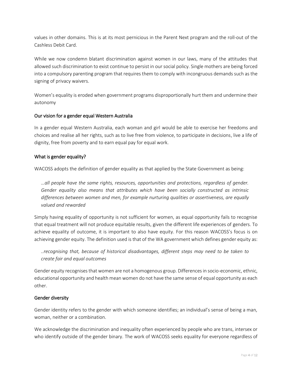values in other domains. This is at its most pernicious in the Parent Next program and the roll-out of the Cashless Debit Card.

While we now condemn blatant discrimination against women in our laws, many of the attitudes that allowed such discrimination to exist continue to persist in our social policy. Single mothers are being forced into a compulsory parenting program that requires them to comply with incongruous demands such as the signing of privacy waivers.

Women's equality is eroded when government programs disproportionally hurt them and undermine their autonomy

#### Our vision for a gender equal Western Australia

In a gender equal Western Australia, each woman and girl would be able to exercise her freedoms and choices and realise all her rights, such as to live free from violence, to participate in decisions, live a life of dignity, free from poverty and to earn equal pay for equal work.

#### What is gender equality?

WACOSS adopts the definition of gender equality as that applied by the State Government as being:

*…all people have the same rights, resources, opportunities and protections, regardless of gender. Gender equality also means that attributes which have been socially constructed as intrinsic differences between women and men, for example nurturing qualities or assertiveness, are equally valued and rewarded* 

Simply having equality of opportunity is not sufficient for women, as equal opportunity fails to recognise that equal treatment will not produce equitable results, given the different life experiences of genders. To achieve equality of outcome, it is important to also have equity. For this reason WACOSS's focus is on achieving gender equity. The definition used is that of the WA government which defines gender equity as:

*..recognising that, because of historical disadvantages, different steps may need to be taken to create fair and equal outcomes*

Gender equity recognises that women are not a homogenous group. Differences in socio-economic, ethnic, educational opportunity and health mean women do not have the same sense of equal opportunity as each other.

#### Gender diversity

Gender identity refers to the gender with which someone identifies; an individual's sense of being a man, woman, neither or a combination.

We acknowledge the discrimination and inequality often experienced by people who are trans, intersex or who identify outside of the gender binary. The work of WACOSS seeks equality for everyone regardless of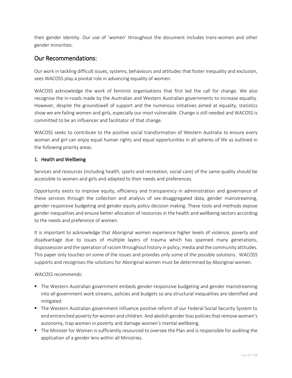their gender identity. Our use of 'women' throughout the document includes trans-women and other gender minorities.

# Our Recommendations:

Our work in tackling difficult issues, systems, behaviours and attitudes that foster inequality and exclusion, sees WACOSS play a pivotal role in advancing equality of women.

WACOSS acknowledge the work of feminist organisations that first led the call for change. We also recognise the in-roads made by the Australian and Western Australian governments to increase equality. However, despite the groundswell of support and the numerous initiatives aimed at equality, statistics show we are failing women and girls, especially our most vulnerable. Change is still needed and WACOSS is committed to be an influencer and facilitator of that change.

WACOSS seeks to contribute to the positive social transformation of Western Australia to ensure every woman and girl can enjoy equal human rights and equal opportunities in all spheres of life as outlined in the following priority areas.

#### 1. Health and Wellbeing

Services and resources (including health, sports and recreation, social care) of the same quality should be accessible to women and girls and adapted to their needs and preferences.

Opportunity exists to improve equity, efficiency and transparency in administration and governance of these services through the collection and analysis of sex-disaggregated data, gender mainstreaming, gender-responsive budgeting and gender equity policy decision making. These tools and methods expose gender inequalities and ensure better allocation of resources in the health and wellbeing sectors according to the needs and preference of women.

It is important to acknowledge that Aboriginal women experience higher levels of violence, poverty and disadvantage due to issues of multiple layers of trauma which has spanned many generations, dispossession and the operation of racism throughout history in policy, media and the community attitudes. This paper only touches on some of the issues and provides only some of the possible solutions. WACOSS supports and recognises the solutions for Aboriginal women must be determined by Aboriginal women.

#### *WACOSS recommends:*

- **The Western Australian government embeds gender-responsive budgeting and gender mainstreaming** into all government work streams, policies and budgets so any structural inequalities are identified and mitigated.
- The Western Australian government influence positive reform of our Federal Social Security System to end entrenched poverty for women and children. And abolish gender bias policiesthat remove women's autonomy, trap women in poverty and damage women's mental wellbeing.
- The Minister for Women is sufficiently resourced to oversee the Plan and is responsible for auditing the application of a gender lens within all Ministries.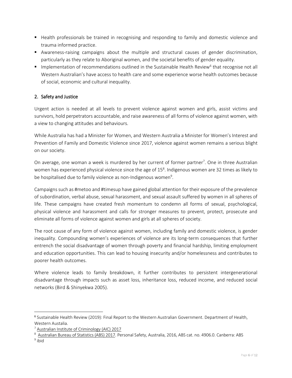- **Health professionals be trained in recognising and responding to family and domestic violence and** trauma informed practice.
- Awareness-raising campaigns about the multiple and structural causes of gender discrimination, particularly as they relate to Aboriginal women, and the societal benefits of gender equality.
- Implementation of recommendations outlined in the Sustainable Health Review<sup>6</sup> that recognise not all Western Australian's have access to health care and some experience worse health outcomes because of social, economic and cultural inequality.

# 2. Safety and Justice

Urgent action is needed at all levels to prevent violence against women and girls, assist victims and survivors, hold perpetrators accountable, and raise awareness of all forms of violence against women, with a view to changing attitudes and behaviours.

While Australia has had a Minister for Women, and Western Australia a Minister for Women's Interest and Prevention of Family and Domestic Violence since 2017, violence against women remains a serious blight on our society.

On average, one woman a week is murdered by her current of former partner<sup>7</sup>. One in three Australian women has experienced physical violence since the age of  $15^8$ . Indigenous women are 32 times as likely to be hospitalised due to family violence as non-Indigenous women<sup>9</sup>.

Campaigns such as #metoo and #timesup have gained global attention for their exposure of the prevalence of subordination, verbal abuse, sexual harassment, and sexual assault suffered by women in all spheres of life. These campaigns have created fresh momentum to condemn all forms of sexual, psychological, physical violence and harassment and calls for stronger measures to prevent, protect, prosecute and eliminate all forms of violence against women and girls at all spheres of society.

The root cause of any form of violence against women, including family and domestic violence, is gender inequality. Compounding women's experiences of violence are its long-term consequences that further entrench the social disadvantage of women through poverty and financial hardship, limiting employment and education opportunities. This can lead to housing insecurity and/or homelessness and contributes to poorer health outcomes.

Where violence leads to family breakdown, it further contributes to persistent intergenerational disadvantage through impacts such as asset loss, inheritance loss, reduced income, and reduced social networks (Bird & Shinyekwa 2005).

l

<sup>&</sup>lt;sup>6</sup> Sustainable Health Review (2019): Final Report to the Western Australian Government. Department of Health, Western Austalia.

<sup>7</sup> Australian Institute of [Criminology](https://aic.gov.au/publications/sr/sr002) (AIC) 2017

<sup>8</sup> [Australian](http://www.abs.gov.au/ausstats/abs@.nsf/Lookup/by%20Subject/4906.0~2016~Main%20Features~Prevalence%20of%20violence%20since%20the%20age%20of%2015~6) Bureau of Statistics (ABS) 2017. Personal Safety, Australia, 2016, ABS cat. no. 4906.0. Canberra: ABS

<sup>&</sup>lt;sup>9</sup> ibid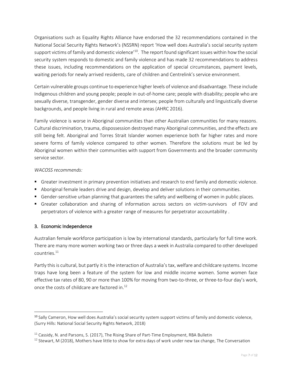Organisations such as Equality Rights Alliance have endorsed the 32 recommendations contained in the National Social Security Rights Network's (NSSRN) report 'How well does Australia's social security system support victims of family and domestic violence<sup>'10</sup>. The report found significant issues within how the social security system responds to domestic and family violence and has made 32 recommendations to address these issues, including recommendations on the application of special circumstances, payment levels, waiting periods for newly arrived residents, care of children and Centrelink's service environment.

Certain vulnerable groups continue to experience higher levels of violence and disadvantage. These include Indigenous children and young people; people in out-of-home care; people with disability; people who are sexually diverse, transgender, gender diverse and intersex; people from culturally and linguistically diverse backgrounds, and people living in rural and remote areas (AHRC 2016).

Family violence is worse in Aboriginal communities than other Australian communities for many reasons. Cultural discrimination, trauma, dispossession destroyed many Aboriginal communities, and the effects are still being felt. Aboriginal and Torres Strait Islander women experience both far higher rates and more severe forms of family violence compared to other women. Therefore the solutions must be led by Aboriginal women within their communities with support from Governments and the broader community service sector.

#### *WACOSS recommends:*

- **Greater investment in primary prevention initiatives and research to end family and domestic violence.**
- Aboriginal female leaders drive and design, develop and deliver solutions in their communities.
- Gender-sensitive urban planning that guarantees the safety and wellbeing of women in public places.
- Greater collaboration and sharing of information across sectors on victim-survivors of FDV and perpetrators of violence with a greater range of measures for perpetrator accountability .

#### 3. Economic Independence

l

Australian female workforce participation is low by international standards, particularly for full time work. There are many more women working two or three days a week in Australia compared to other developed countries. $^{11}$ 

Partly this is cultural, but partly it is the interaction of Australia's tax, welfare and childcare systems. Income traps have long been a feature of the system for low and middle income women. Some women face effective tax rates of 80, 90 or more than 100% for moving from two-to-three, or three-to-four day's work, once the costs of childcare are factored in.<sup>12</sup>

<sup>&</sup>lt;sup>10</sup> Sally Cameron, How well does Australia's social security system support victims of family and domestic violence, (Surry Hills: National Social Security Rights Network, 2018)

 $11$  Cassidy, N. and Parsons, S. (2017), The Rising Share of Part-Time Employment, RBA Bulletin

 $12$  Stewart, M (2018), Mothers have little to show for extra days of work under new tax change, The Conversation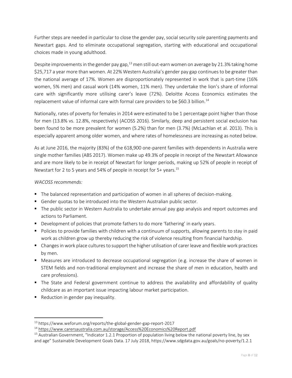Further steps are needed in particular to close the gender pay, social security sole parenting payments and Newstart gaps. And to eliminate occupational segregation, starting with educational and occupational choices made in young adulthood.

Despite improvements in the gender pay gap,<sup>13</sup> men still out-earn women on average by 21.3% taking home \$25,717 a year more than women. At 22% Western Australia's gender pay gap continues to be greater than the national average of 17%. Women are disproportionately represented in work that is part-time (16% women, 5% men) and casual work (14% women, 11% men). They undertake the lion's share of informal care with significantly more utilising carer's leave (72%). Deloitte Access Economics estimates the replacement value of informal care with formal care providers to be \$60.3 billion.<sup>14</sup>

Nationally, rates of poverty for females in 2014 were estimated to be 1 percentage point higher than those for men (13.8% vs. 12.8%, respectively) (ACOSS 2016). Similarly, deep and persistent social exclusion has been found to be more prevalent for women (5.2%) than for men (3.7%) (McLachlan et al. 2013). This is especially apparent among older women, and where rates of homelessness are increasing as noted below.

As at June 2016, the majority (83%) of the 618,900 one-parent families with dependents in Australia were single mother families (ABS 2017). Women make up 49.3% of people in receipt of the Newstart Allowance and are more likely to be in receipt of Newstart for longer periods, making up 52% of people in receipt of Newstart for 2 to 5 years and 54% of people in receipt for 5+ years.<sup>15</sup>

#### *WACOSS recommends:*

- The balanced representation and participation of women in all spheres of decision-making.
- Gender quotas to be introduced into the Western Australian public sector.
- The public sector in Western Australia to undertake annual pay gap analysis and report outcomes and actions to Parliament.
- **Development of policies that promote fathers to do more 'fathering' in early years.**
- **Policies to provide families with children with a continuum of supports, allowing parents to stay in paid** work as children grow up thereby reducing the risk of violence resulting from financial hardship.
- **EX Changes in work place cultures to support the higher utilisation of carer leave and flexible work practices** by men.
- Measures are introduced to decrease occupational segregation (e.g. increase the share of women in STEM fields and non-traditional employment and increase the share of men in education, health and care professions).
- The State and Federal government continue to address the availability and affordability of quality childcare as an important issue impacting labour market participation.
- Reduction in gender pay inequality.

 $\overline{a}$ 

<sup>13</sup> https://www.weforum.org/reports/the-global-gender-gap-report-2017

<sup>14</sup> <https://www.carersaustralia.com.au/storage/Access%20Economics%20Report.pdf>

 $15$  Australian Government, "Indicator 1.2.1 Proportion of population living below the national poverty line, by sex and age" Sustainable Development Goals Data. 17 July 2018, https://www.sdgdata.gov.au/goals/no-poverty/1.2.1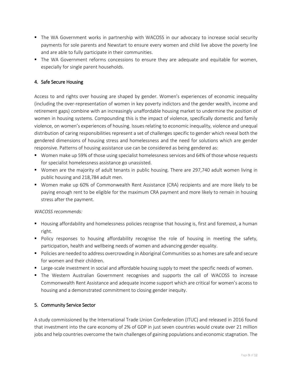- The WA Government works in partnership with WACOSS in our advocacy to increase social security payments for sole parents and Newstart to ensure every women and child live above the poverty line and are able to fully participate in their communities.
- The WA Government reforms concessions to ensure they are adequate and equitable for women, especially for single parent households.

# 4. Safe Secure Housing

Access to and rights over housing are shaped by gender. Women's experiences of economic inequality (including the over-representation of women in key poverty indictors and the gender wealth, income and retirement gaps) combine with an increasingly unaffordable housing market to undermine the position of women in housing systems. Compounding this is the impact of violence, specifically domestic and family violence, on women's experiences of housing. Issues relating to economic inequality, violence and unequal distribution of caring responsibilities represent a set of challenges specific to gender which reveal both the gendered dimensions of housing stress and homelessness and the need for solutions which are gender responsive. Patterns of housing assistance use can be considered as being gendered as:

- **Women make up 59% of those using specialist homelessness services and 64% of those whose requests** for specialist homelessness assistance go unassisted.
- Women are the majority of adult tenants in public housing. There are 297,740 adult women living in public housing and 218,784 adult men.
- Women make up 60% of Commonwealth Rent Assistance (CRA) recipients and are more likely to be paying enough rent to be eligible for the maximum CRA payment and more likely to remain in housing stress after the payment.

#### *WACOSS recommends:*

- **Hetable and a** Housing affordability and homelessness policies recognise that housing is, first and foremost, a human right.
- **Policy responses to housing affordability recognise the role of housing in meeting the safety,** participation, health and wellbeing needs of women and advancing gender equality.
- Policies are needed to address overcrowding in Aboriginal Communities so as homes are safe and secure for women and their children.
- **Large-scale investment in social and affordable housing supply to meet the specific needs of women.**
- **The Western Australian Government recognises and supports the call of WACOSS to increase** Commonwealth Rent Assistance and adequate income support which are critical for women's access to housing and a demonstrated commitment to closing gender inequity.

## 5. Community Service Sector

A study commissioned by the International Trade Union Confederation (ITUC) and released in 2016 found that investment into the care economy of 2% of GDP in just seven countries would create over 21 million jobs and help countries overcome the twin challenges of gaining populations and economic stagnation. The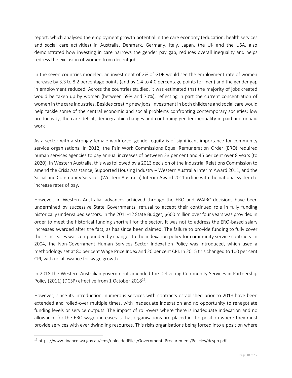report, which analysed the employment growth potential in the care economy (education, health services and social care activities) in Australia, Denmark, Germany, Italy, Japan, the UK and the USA, also demonstrated how investing in care narrows the gender pay gap, reduces overall inequality and helps redress the exclusion of women from decent jobs.

In the seven countries modeled, an investment of 2% of GDP would see the employment rate of women increase by 3.3 to 8.2 percentage points (and by 1.4 to 4.0 percentage points for men) and the gender gap in employment reduced. Across the countries studied, it was estimated that the majority of jobs created would be taken up by women (between 59% and 70%), reflecting in part the current concentration of women in the care industries. Besides creating new jobs, investment in both childcare and social care would help tackle some of the central economic and social problems confronting contemporary societies: low productivity, the care deficit, demographic changes and continuing gender inequality in paid and unpaid work

As a sector with a strongly female workforce, gender equity is of significant importance for community service organisations. In 2012, the Fair Work Commissions Equal Remuneration Order (ERO) required human services agencies to pay annual increases of between 23 per cent and 45 per cent over 8 years (to 2020). In Western Australia, this was followed by a 2013 decision of the Industrial Relations Commission to amend the Crisis Assistance, Supported Housing Industry – Western Australia Interim Award 2011, and the Social and Community Services (Western Australia) Interim Award 2011 in line with the national system to increase rates of pay.

However, in Western Australia, advances achieved through the ERO and WAIRC decisions have been undermined by successive State Governments' refusal to accept their continued role in fully funding historically undervalued sectors. In the 2011-12 State Budget, \$600 million over four years was provided in order to meet the historical funding shortfall for the sector. It was not to address the ERO-based salary increases awarded after the fact, as has since been claimed. The failure to provide funding to fully cover those increases was compounded by changes to the indexation policy for community service contracts. In 2004, the Non-Government Human Services Sector Indexation Policy was introduced, which used a methodology set at 80 per cent Wage Price Index and 20 per cent CPI. In 2015 this changed to 100 per cent CPI, with no allowance for wage growth.

In 2018 the Western Australian government amended the Delivering Community Services in Partnership Policy (2011) (DCSP) effective from 1 October 2018 $^{16}$ .

However, since its introduction, numerous services with contracts established prior to 2018 have been extended and rolled-over multiple times, with inadequate indexation and no opportunity to renegotiate funding levels or service outputs. The impact of roll-overs where there is inadequate indexation and no allowance for the ERO wage increases is that organisations are placed in the position where they must provide services with ever dwindling resources. This risks organisations being forced into a position where

 $\overline{\phantom{a}}$ 

<sup>&</sup>lt;sup>16</sup> [https://www.finance.wa.gov.au/cms/uploadedFiles/Government\\_Procurement/Policies/dcspp.pdf](https://www.finance.wa.gov.au/cms/uploadedFiles/Government_Procurement/Policies/dcspp.pdf)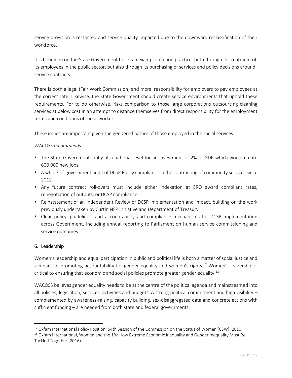service provision is restricted and service quality impacted due to the downward reclassification of their workforce.

It is beholden on the State Government to set an example of good practice, both through its treatment of its employees in the public sector, but also through its purchasing of services and policy decisions around service contracts.

There is both a legal (Fair Work Commission) and moral responsibility for employers to pay employees at the correct rate. Likewise, the State Government should create service environments that uphold these requirements. For to do otherwise, risks comparison to those large corporations outsourcing cleaning services at below cost in an attempt to distance themselves from direct responsibility for the employment terms and conditions of those workers.

These issues are important given the gendered nature of those employed in the social services.

#### *WACOSS recommends:*

- The State Government lobby at a national level for an investment of 2% of GDP which would create 600,000 new jobs
- A whole-of-government audit of DCSP Policy compliance in the contracting of community services since 2012.
- Any future contract roll-overs must include either indexation at ERO award compliant rates, renegotiation of outputs, or DCSP compliance.
- Reinstatement of an Independent Review of DCSP Implementation and Impact, building on the work previously undertaken by Curtin NFP Initiative and Department of Treasury
- Clear policy, guidelines, and accountability and compliance mechanisms for DCSP implementation across Government. Including annual reporting to Parliament on human service commissioning and service outcomes.

## 6. Leadership

 $\overline{\phantom{a}}$ 

Women's leadership and equal participation in public and political life is both a matter of social justice and a means of promoting accountability for gender equality and women's rights.<sup>17</sup> Women's leadership is critical to ensuring that economic and social policies promote greater gender equality.<sup>18</sup>

WACOSS believes gender equality needs to be at the centre of the political agenda and mainstreamed into all policies, legislation, services, activities and budgets. A strong political commitment and high visibility – complemented by awareness-raising, capacity building, sex-disaggregated data and concrete actions with sufficient funding – are needed from both state and federal governments.

<sup>&</sup>lt;sup>17</sup> Oxfam International Policy Position, 54th Session of the Commission on the Status of Women (CSW). 2010

 $18$  Oxfam International, Women and the 1%: How Extreme Economic Inequality and Gender Inequality Must Be Tackled Together (2016)